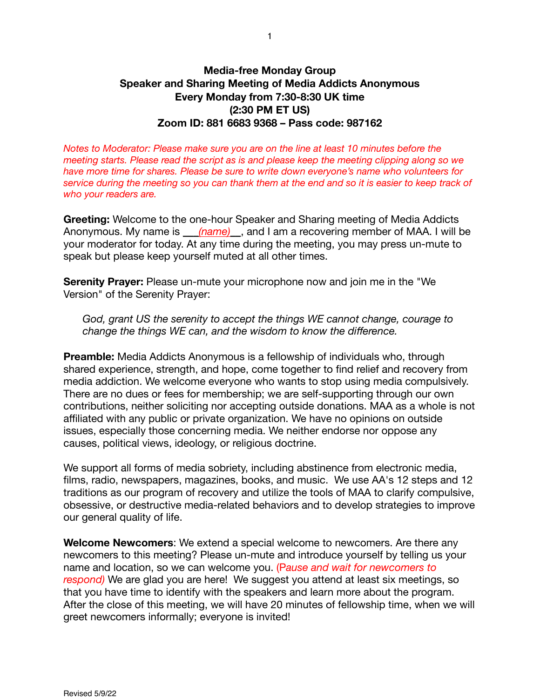# **Media-free Monday Group Speaker and Sharing Meeting of Media Addicts Anonymous Every Monday from 7:30-8:30 UK time (2:30 PM ET US) Zoom ID: 881 6683 9368 – Pass code: 987162**

*Notes to Moderator: Please make sure you are on the line at least 10 minutes before the meeting starts. Please read the script as is and please keep the meeting clipping along so we have more time for shares. Please be sure to write down everyone's name who volunteers for service during the meeting so you can thank them at the end and so it is easier to keep track of who your readers are.*

**Greeting:** Welcome to the one-hour Speaker and Sharing meeting of Media Addicts Anonymous. My name is  $(name)$ , and I am a recovering member of MAA. I will be your moderator for today. At any time during the meeting, you may press un-mute to speak but please keep yourself muted at all other times.

**Serenity Prayer:** Please un-mute your microphone now and join me in the "We Version" of the Serenity Prayer:

*God, grant US the serenity to accept the things WE cannot change, courage to change the things WE can, and the wisdom to know the difference.* 

**Preamble:** Media Addicts Anonymous is a fellowship of individuals who, through shared experience, strength, and hope, come together to find relief and recovery from media addiction. We welcome everyone who wants to stop using media compulsively. There are no dues or fees for membership; we are self-supporting through our own contributions, neither soliciting nor accepting outside donations. MAA as a whole is not affiliated with any public or private organization. We have no opinions on outside issues, especially those concerning media. We neither endorse nor oppose any causes, political views, ideology, or religious doctrine.

We support all forms of media sobriety, including abstinence from electronic media, films, radio, newspapers, magazines, books, and music. We use AA's 12 steps and 12 traditions as our program of recovery and utilize the tools of MAA to clarify compulsive, obsessive, or destructive media-related behaviors and to develop strategies to improve our general quality of life.

**Welcome Newcomers**: We extend a special welcome to newcomers. Are there any newcomers to this meeting? Please un-mute and introduce yourself by telling us your name and location, so we can welcome you. (P*ause and wait for newcomers to respond)* We are glad you are here! We suggest you attend at least six meetings, so that you have time to identify with the speakers and learn more about the program. After the close of this meeting, we will have 20 minutes of fellowship time, when we will greet newcomers informally; everyone is invited!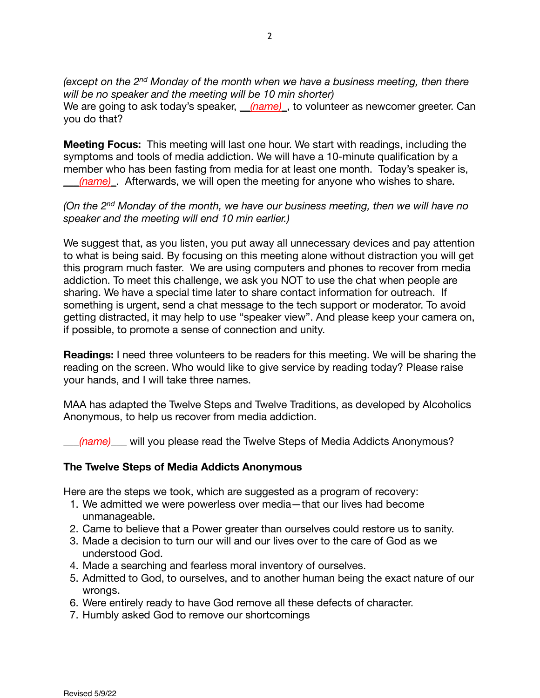*(except on the 2nd Monday of the month when we have a business meeting, then there will be no speaker and the meeting will be 10 min shorter)*  We are going to ask today's speaker, (name), to volunteer as newcomer greeter. Can you do that?

**Meeting Focus:** This meeting will last one hour. We start with readings, including the symptoms and tools of media addiction. We will have a 10-minute qualification by a member who has been fasting from media for at least one month. Today's speaker is, (name). Afterwards, we will open the meeting for anyone who wishes to share.

*(On the 2nd Monday of the month, we have our business meeting, then we will have no speaker and the meeting will end 10 min earlier.)*

We suggest that, as you listen, you put away all unnecessary devices and pay attention to what is being said. By focusing on this meeting alone without distraction you will get this program much faster. We are using computers and phones to recover from media addiction. To meet this challenge, we ask you NOT to use the chat when people are sharing. We have a special time later to share contact information for outreach. If something is urgent, send a chat message to the tech support or moderator. To avoid getting distracted, it may help to use "speaker view". And please keep your camera on, if possible, to promote a sense of connection and unity.

**Readings:** I need three volunteers to be readers for this meeting. We will be sharing the reading on the screen. Who would like to give service by reading today? Please raise your hands, and I will take three names.

MAA has adapted the Twelve Steps and Twelve Traditions, as developed by Alcoholics Anonymous, to help us recover from media addiction.

\_\_\_*(name)*\_\_\_ will you please read the Twelve Steps of Media Addicts Anonymous?

# **The Twelve Steps of Media Addicts Anonymous**

Here are the steps we took, which are suggested as a program of recovery:

- 1. We admitted we were powerless over media—that our lives had become unmanageable.
- 2. Came to believe that a Power greater than ourselves could restore us to sanity.
- 3. Made a decision to turn our will and our lives over to the care of God as we understood God.
- 4. Made a searching and fearless moral inventory of ourselves.
- 5. Admitted to God, to ourselves, and to another human being the exact nature of our wronas.
- 6. Were entirely ready to have God remove all these defects of character.
- 7. Humbly asked God to remove our shortcomings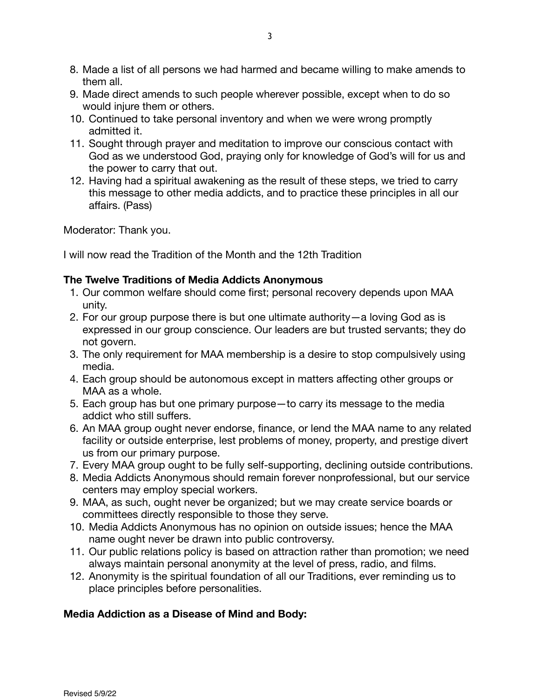- 8. Made a list of all persons we had harmed and became willing to make amends to them all.
- 9. Made direct amends to such people wherever possible, except when to do so would injure them or others.
- 10. Continued to take personal inventory and when we were wrong promptly admitted it.
- 11. Sought through prayer and meditation to improve our conscious contact with God as we understood God, praying only for knowledge of God's will for us and the power to carry that out.
- 12. Having had a spiritual awakening as the result of these steps, we tried to carry this message to other media addicts, and to practice these principles in all our affairs. (Pass)

Moderator: Thank you.

I will now read the Tradition of the Month and the 12th Tradition

# **The Twelve Traditions of Media Addicts Anonymous**

- 1. Our common welfare should come first; personal recovery depends upon MAA unity.
- 2. For our group purpose there is but one ultimate authority—a loving God as is expressed in our group conscience. Our leaders are but trusted servants; they do not govern.
- 3. The only requirement for MAA membership is a desire to stop compulsively using media.
- 4. Each group should be autonomous except in matters affecting other groups or MAA as a whole.
- 5. Each group has but one primary purpose—to carry its message to the media addict who still suffers.
- 6. An MAA group ought never endorse, finance, or lend the MAA name to any related facility or outside enterprise, lest problems of money, property, and prestige divert us from our primary purpose.
- 7. Every MAA group ought to be fully self-supporting, declining outside contributions.
- 8. Media Addicts Anonymous should remain forever nonprofessional, but our service centers may employ special workers.
- 9. MAA, as such, ought never be organized; but we may create service boards or committees directly responsible to those they serve.
- 10. Media Addicts Anonymous has no opinion on outside issues; hence the MAA name ought never be drawn into public controversy.
- 11. Our public relations policy is based on attraction rather than promotion; we need always maintain personal anonymity at the level of press, radio, and films.
- 12. Anonymity is the spiritual foundation of all our Traditions, ever reminding us to place principles before personalities.

# **Media Addiction as a Disease of Mind and Body:**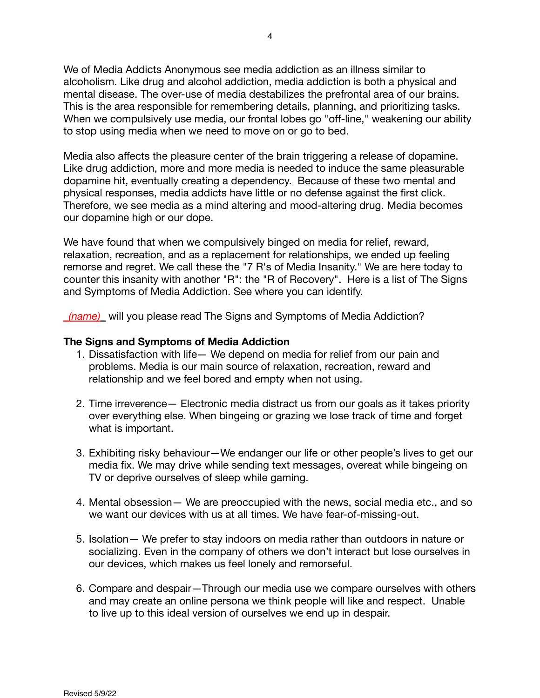We of Media Addicts Anonymous see media addiction as an illness similar to alcoholism. Like drug and alcohol addiction, media addiction is both a physical and mental disease. The over-use of media destabilizes the prefrontal area of our brains. This is the area responsible for remembering details, planning, and prioritizing tasks. When we compulsively use media, our frontal lobes go "off-line," weakening our ability to stop using media when we need to move on or go to bed.

Media also affects the pleasure center of the brain triggering a release of dopamine. Like drug addiction, more and more media is needed to induce the same pleasurable dopamine hit, eventually creating a dependency. Because of these two mental and physical responses, media addicts have little or no defense against the first click. Therefore, we see media as a mind altering and mood-altering drug. Media becomes our dopamine high or our dope.

We have found that when we compulsively binged on media for relief, reward, relaxation, recreation, and as a replacement for relationships, we ended up feeling remorse and regret. We call these the "7 R's of Media Insanity." We are here today to counter this insanity with another "R": the "R of Recovery". Here is a list of The Signs and Symptoms of Media Addiction. See where you can identify.

*(name)* will you please read The Signs and Symptoms of Media Addiction?

## **The Signs and Symptoms of Media Addiction**

- 1. Dissatisfaction with life— We depend on media for relief from our pain and problems. Media is our main source of relaxation, recreation, reward and relationship and we feel bored and empty when not using.
- 2. Time irreverence— Electronic media distract us from our goals as it takes priority over everything else. When bingeing or grazing we lose track of time and forget what is important.
- 3. Exhibiting risky behaviour—We endanger our life or other people's lives to get our media fix. We may drive while sending text messages, overeat while bingeing on TV or deprive ourselves of sleep while gaming.
- 4. Mental obsession— We are preoccupied with the news, social media etc., and so we want our devices with us at all times. We have fear-of-missing-out.
- 5. Isolation— We prefer to stay indoors on media rather than outdoors in nature or socializing. Even in the company of others we don't interact but lose ourselves in our devices, which makes us feel lonely and remorseful.
- 6. Compare and despair—Through our media use we compare ourselves with others and may create an online persona we think people will like and respect. Unable to live up to this ideal version of ourselves we end up in despair.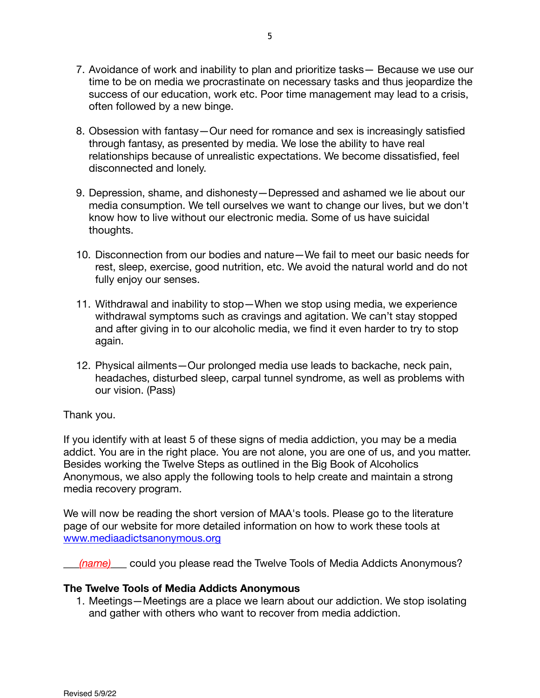- 7. Avoidance of work and inability to plan and prioritize tasks— Because we use our time to be on media we procrastinate on necessary tasks and thus jeopardize the success of our education, work etc. Poor time management may lead to a crisis, often followed by a new binge.
- 8. Obsession with fantasy—Our need for romance and sex is increasingly satisfied through fantasy, as presented by media. We lose the ability to have real relationships because of unrealistic expectations. We become dissatisfied, feel disconnected and lonely.
- 9. Depression, shame, and dishonesty—Depressed and ashamed we lie about our media consumption. We tell ourselves we want to change our lives, but we don't know how to live without our electronic media. Some of us have suicidal thoughts.
- 10. Disconnection from our bodies and nature—We fail to meet our basic needs for rest, sleep, exercise, good nutrition, etc. We avoid the natural world and do not fully enjoy our senses.
- 11. Withdrawal and inability to stop—When we stop using media, we experience withdrawal symptoms such as cravings and agitation. We can't stay stopped and after giving in to our alcoholic media, we find it even harder to try to stop again.
- 12. Physical ailments—Our prolonged media use leads to backache, neck pain, headaches, disturbed sleep, carpal tunnel syndrome, as well as problems with our vision. (Pass)

# Thank you.

If you identify with at least 5 of these signs of media addiction, you may be a media addict. You are in the right place. You are not alone, you are one of us, and you matter. Besides working the Twelve Steps as outlined in the Big Book of Alcoholics Anonymous, we also apply the following tools to help create and maintain a strong media recovery program.

We will now be reading the short version of MAA's tools. Please go to the literature page of our website for more detailed information on how to work these tools at www.[mediaadictsanonymous.org](http://www.mediaadictsanonymous.org/)

(name) could you please read the Twelve Tools of Media Addicts Anonymous?

# **The Twelve Tools of Media Addicts Anonymous**

1. Meetings—Meetings are a place we learn about our addiction. We stop isolating and gather with others who want to recover from media addiction.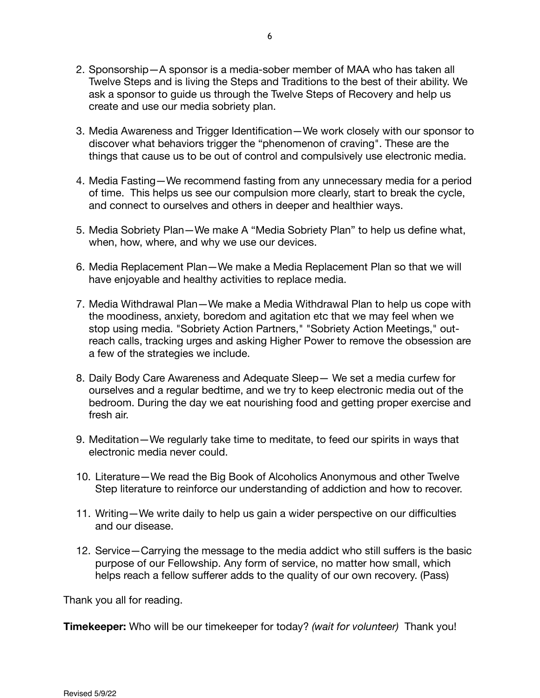- 2. Sponsorship—A sponsor is a media-sober member of MAA who has taken all Twelve Steps and is living the Steps and Traditions to the best of their ability. We ask a sponsor to guide us through the Twelve Steps of Recovery and help us create and use our media sobriety plan.
- 3. Media Awareness and Trigger Identification—We work closely with our sponsor to discover what behaviors trigger the "phenomenon of craving". These are the things that cause us to be out of control and compulsively use electronic media.
- 4. Media Fasting—We recommend fasting from any unnecessary media for a period of time. This helps us see our compulsion more clearly, start to break the cycle, and connect to ourselves and others in deeper and healthier ways.
- 5. Media Sobriety Plan—We make A "Media Sobriety Plan" to help us define what, when, how, where, and why we use our devices.
- 6. Media Replacement Plan—We make a Media Replacement Plan so that we will have enjoyable and healthy activities to replace media.
- 7. Media Withdrawal Plan—We make a Media Withdrawal Plan to help us cope with the moodiness, anxiety, boredom and agitation etc that we may feel when we stop using media. "Sobriety Action Partners," "Sobriety Action Meetings," outreach calls, tracking urges and asking Higher Power to remove the obsession are a few of the strategies we include.
- 8. Daily Body Care Awareness and Adequate Sleep— We set a media curfew for ourselves and a regular bedtime, and we try to keep electronic media out of the bedroom. During the day we eat nourishing food and getting proper exercise and fresh air.
- 9. Meditation—We regularly take time to meditate, to feed our spirits in ways that electronic media never could.
- 10. Literature—We read the Big Book of Alcoholics Anonymous and other Twelve Step literature to reinforce our understanding of addiction and how to recover.
- 11. Writing—We write daily to help us gain a wider perspective on our difficulties and our disease.
- 12. Service—Carrying the message to the media addict who still suffers is the basic purpose of our Fellowship. Any form of service, no matter how small, which helps reach a fellow sufferer adds to the quality of our own recovery. (Pass)

Thank you all for reading.

**Timekeeper:** Who will be our timekeeper for today? *(wait for volunteer)* Thank you!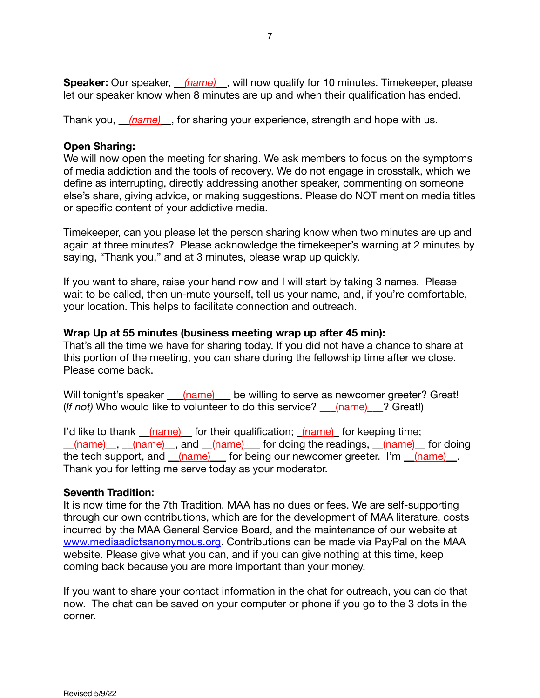**Speaker:** Our speaker, *(name)*, will now qualify for 10 minutes. Timekeeper, please let our speaker know when 8 minutes are up and when their qualification has ended.

Thank you, \_\_*(name)\_*\_, for sharing your experience, strength and hope with us.

## **Open Sharing:**

We will now open the meeting for sharing. We ask members to focus on the symptoms of media addiction and the tools of recovery. We do not engage in crosstalk, which we define as interrupting, directly addressing another speaker, commenting on someone else's share, giving advice, or making suggestions. Please do NOT mention media titles or specific content of your addictive media.

Timekeeper, can you please let the person sharing know when two minutes are up and again at three minutes? Please acknowledge the timekeeper's warning at 2 minutes by saying, "Thank you," and at 3 minutes, please wrap up quickly.

If you want to share, raise your hand now and I will start by taking 3 names. Please wait to be called, then un-mute yourself, tell us your name, and, if you're comfortable, your location. This helps to facilitate connection and outreach.

## **Wrap Up at 55 minutes (business meeting wrap up after 45 min):**

That's all the time we have for sharing today. If you did not have a chance to share at this portion of the meeting, you can share during the fellowship time after we close. Please come back.

Will tonight's speaker \_\_\_(name) \_\_ be willing to serve as newcomer greeter? Great! (*If not)* Who would like to volunteer to do this service? \_\_\_(name)\_\_\_? Great!)

I'd like to thank (name) for their qualification; (name) for keeping time; (name), (name), and (name) for doing the readings, (name) for doing the tech support, and  $_{(name)}$  for being our newcomer greeter. I'm  $_{(name)}$ . Thank you for letting me serve today as your moderator.

## **Seventh Tradition:**

It is now time for the 7th Tradition. MAA has no dues or fees. We are self-supporting through our own contributions, which are for the development of MAA literature, costs incurred by the MAA General Service Board, and the maintenance of our website at [www.mediaadictsanonymous.org.](http://www.mediaadictsanonymous.org) Contributions can be made via PayPal on the MAA website. Please give what you can, and if you can give nothing at this time, keep coming back because you are more important than your money.

If you want to share your contact information in the chat for outreach, you can do that now. The chat can be saved on your computer or phone if you go to the 3 dots in the corner.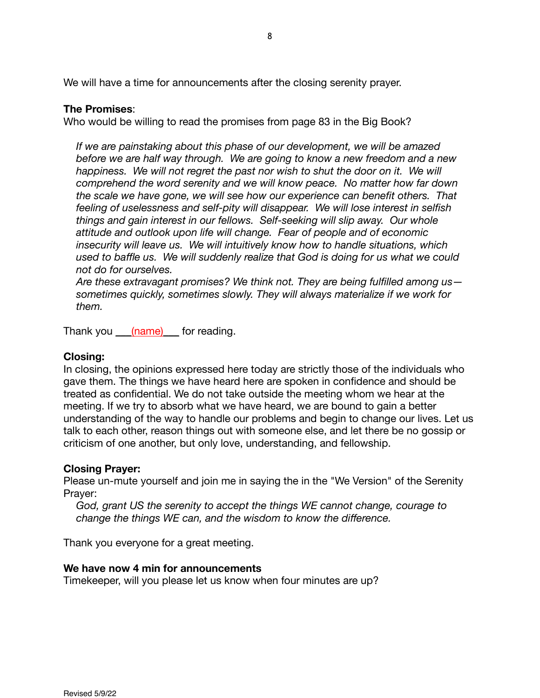We will have a time for announcements after the closing serenity prayer.

## **The Promises**:

Who would be willing to read the promises from page 83 in the Big Book?

*If we are painstaking about this phase of our development, we will be amazed before we are half way through. We are going to know a new freedom and a new happiness. We will not regret the past nor wish to shut the door on it. We will comprehend the word serenity and we will know peace. No matter how far down the scale we have gone, we will see how our experience can benefit others. That feeling of uselessness and self-pity will disappear. We will lose interest in selfish things and gain interest in our fellows. Self-seeking will slip away. Our whole attitude and outlook upon life will change. Fear of people and of economic insecurity will leave us. We will intuitively know how to handle situations, which used to baffle us. We will suddenly realize that God is doing for us what we could not do for ourselves.* 

*Are these extravagant promises? We think not. They are being fulfilled among us sometimes quickly, sometimes slowly. They will always materialize if we work for them.* 

Thank you (name) for reading.

## **Closing:**

In closing, the opinions expressed here today are strictly those of the individuals who gave them. The things we have heard here are spoken in confidence and should be treated as confidential. We do not take outside the meeting whom we hear at the meeting. If we try to absorb what we have heard, we are bound to gain a better understanding of the way to handle our problems and begin to change our lives. Let us talk to each other, reason things out with someone else, and let there be no gossip or criticism of one another, but only love, understanding, and fellowship.

## **Closing Prayer:**

Please un-mute yourself and join me in saying the in the "We Version" of the Serenity Prayer:

*God, grant US the serenity to accept the things WE cannot change, courage to change the things WE can, and the wisdom to know the difference.* 

Thank you everyone for a great meeting.

## **We have now 4 min for announcements**

Timekeeper, will you please let us know when four minutes are up?